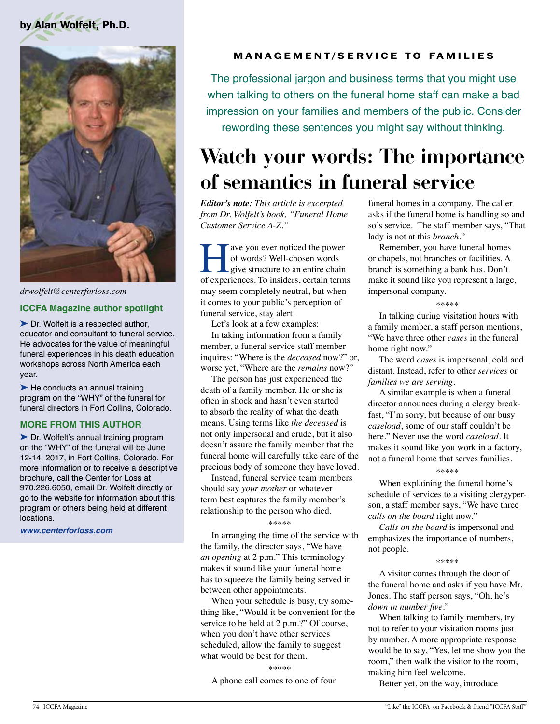by Alan Wolfelt, Ph.D.



*drwolfelt@centerforloss.com*

## **ICCFA Magazine author spotlight**

► Dr. Wolfelt is a respected author, educator and consultant to funeral service. He advocates for the value of meaningful funeral experiences in his death education workshops across North America each year.

▶ He conducts an annual training program on the "WHY" of the funeral for funeral directors in Fort Collins, Colorado.

## **MORE FROM THIS AUTHOR**

➤ Dr. Wolfelt's annual training program on the "WHY" of the funeral will be June 12-14, 2017, in Fort Collins, Colorado. For more information or to receive a descriptive brochure, call the Center for Loss at 970.226.6050, email Dr. Wolfelt directly or go to the website for information about this program or others being held at different locations.

*www.centerforloss.com*

# **MANAGEMENT/SERVICE TO FAMILIES**

The professional jargon and business terms that you might use when talking to others on the funeral home staff can make a bad impression on your families and members of the public. Consider rewording these sentences you might say without thinking.

# **Watch your words: The importance of semantics in funeral service**

*Editor's note: This article is excerpted from Dr. Wolfelt's book, "Funeral Home Customer Service A-Z."*

**Fave you ever noticed the power**<br>of words? Well-chosen words<br>give structure to an entire chain<br>of experiences. To insiders, certain terms of words? Well-chosen words give structure to an entire chain may seem completely neutral, but when it comes to your public's perception of funeral service, stay alert.

Let's look at a few examples:

In taking information from a family member, a funeral service staff member inquires: "Where is the *deceased* now?" or, worse yet, "Where are the *remains* now?"

The person has just experienced the death of a family member. He or she is often in shock and hasn't even started to absorb the reality of what the death means. Using terms like *the deceased* is not only impersonal and crude, but it also doesn't assure the family member that the funeral home will carefully take care of the precious body of someone they have loved.

Instead, funeral service team members should say *your mother* or whatever term best captures the family member's relationship to the person who died.

\*\*\*\*\*

In arranging the time of the service with the family, the director says, "We have *an opening* at 2 p.m." This terminology makes it sound like your funeral home has to squeeze the family being served in between other appointments.

When your schedule is busy, try something like, "Would it be convenient for the service to be held at 2 p.m.?" Of course, when you don't have other services scheduled, allow the family to suggest what would be best for them.

\*\*\*\*\*

A phone call comes to one of four

funeral homes in a company. The caller asks if the funeral home is handling so and so's service. The staff member says, "That lady is not at this *branch*."

Remember, you have funeral homes or chapels, not branches or facilities. A branch is something a bank has. Don't make it sound like you represent a large, impersonal company.

#### \*\*\*\*\*

In talking during visitation hours with a family member, a staff person mentions, "We have three other *cases* in the funeral home right now."

The word *cases* is impersonal, cold and distant. Instead, refer to other *services* or *families we are serving*.

A similar example is when a funeral director announces during a clergy breakfast, "I'm sorry, but because of our busy *caseload*, some of our staff couldn't be here." Never use the word *caseload*. It makes it sound like you work in a factory, not a funeral home that serves families.

#### \*\*\*\*\*

When explaining the funeral home's schedule of services to a visiting clergyperson, a staff member says, "We have three *calls on the board* right now."

*Calls on the board* is impersonal and emphasizes the importance of numbers, not people.

\*\*\*\*\*

A visitor comes through the door of the funeral home and asks if you have Mr. Jones. The staff person says, "Oh, he's *down in number five*."

When talking to family members, try not to refer to your visitation rooms just by number. A more appropriate response would be to say, "Yes, let me show you the room," then walk the visitor to the room, making him feel welcome.

Better yet, on the way, introduce